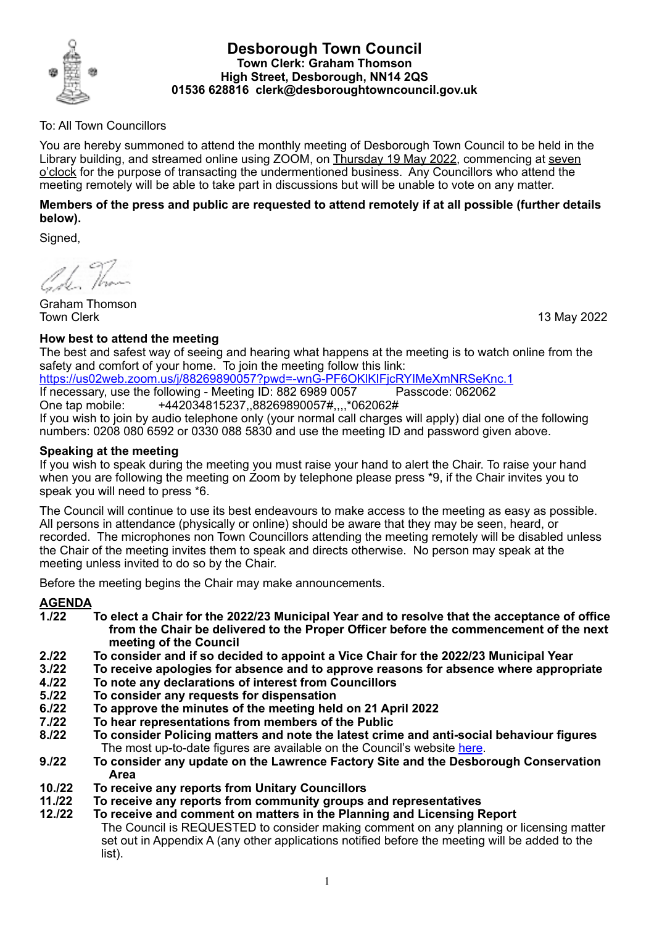

### **Desborough Town Council Town Clerk: Graham Thomson High Street, Desborough, NN14 2QS 01536 628816 clerk@desboroughtowncouncil.gov.uk**

## To: All Town Councillors

You are hereby summoned to attend the monthly meeting of Desborough Town Council to be held in the Library building, and streamed online using ZOOM, on Thursday 19 May 2022, commencing at seven o'clock for the purpose of transacting the undermentioned business. Any Councillors who attend the meeting remotely will be able to take part in discussions but will be unable to vote on any matter.

### **Members of the press and public are requested to attend remotely if at all possible (further details below).**

Signed,

A.J. Than

Graham Thomson Town Clerk 13 May 2022

## **How best to attend the meeting**

The best and safest way of seeing and hearing what happens at the meeting is to watch online from the safety and comfort of your home. To join the meeting follow this link:

<https://us02web.zoom.us/j/88269890057?pwd=-wnG-PF6OKlKIFjcRYIMeXmNRSeKnc.1>

If necessary, use the following - Meeting ID: 882 6989 0057 Passcode: 062062 One tap mobile: +442034815237,,88269890057#,,,,\*062062#

If you wish to join by audio telephone only (your normal call charges will apply) dial one of the following numbers: 0208 080 6592 or 0330 088 5830 and use the meeting ID and password given above.

### **Speaking at the meeting**

If you wish to speak during the meeting you must raise your hand to alert the Chair. To raise your hand when you are following the meeting on Zoom by telephone please press \*9, if the Chair invites you to speak you will need to press \*6.

The Council will continue to use its best endeavours to make access to the meeting as easy as possible. All persons in attendance (physically or online) should be aware that they may be seen, heard, or recorded. The microphones non Town Councillors attending the meeting remotely will be disabled unless the Chair of the meeting invites them to speak and directs otherwise. No person may speak at the meeting unless invited to do so by the Chair.

Before the meeting begins the Chair may make announcements.

# **AGENDA**

- **1./22 To elect a Chair for the 2022/23 Municipal Year and to resolve that the acceptance of office from the Chair be delivered to the Proper Officer before the commencement of the next meeting of the Council**
- **2./22 To consider and if so decided to appoint a Vice Chair for the 2022/23 Municipal Year**
- **3./22 To receive apologies for absence and to approve reasons for absence where appropriate**
- **4./22 To note any declarations of interest from Councillors**
- **5./22 To consider any requests for dispensation**
- **6./22 To approve the minutes of the meeting held on 21 April 2022**
- **7./22 To hear representations from members of the Public**
- **8./22 To consider Policing matters and note the latest crime and anti-social behaviour figures** The most up-to-date figures are available on the Council's website [here](https://desboroughtowncouncil.gov.uk/crime-reports/).
- **9./22 To consider any update on the Lawrence Factory Site and the Desborough Conservation Area**
- **10./22 To receive any reports from Unitary Councillors**
- **11./22 To receive any reports from community groups and representatives**
- **12./22 To receive and comment on matters in the Planning and Licensing Report** The Council is REQUESTED to consider making comment on any planning or licensing matter set out in Appendix A (any other applications notified before the meeting will be added to the list).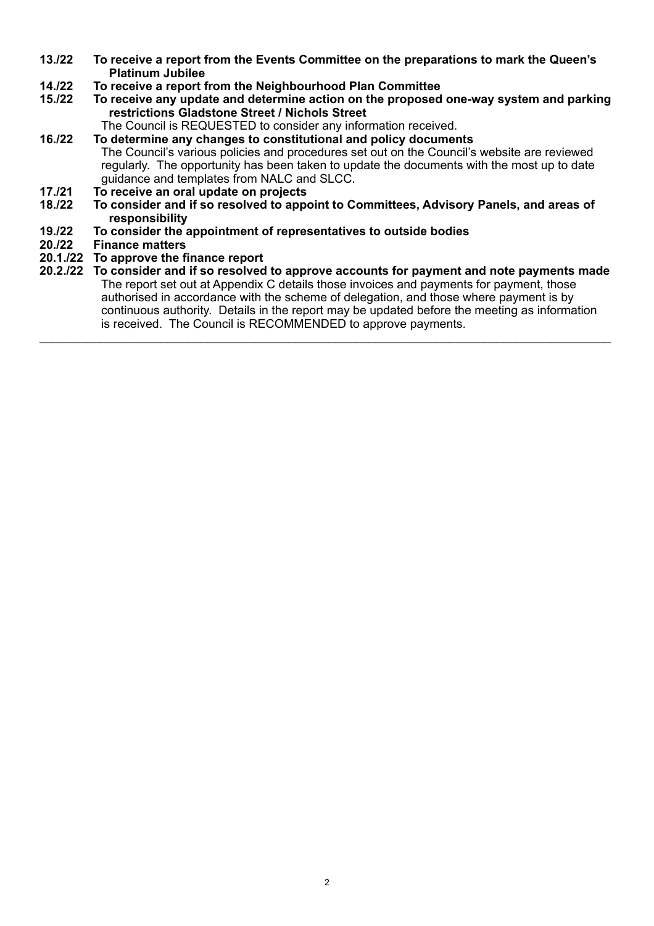- **13./22 To receive a report from the Events Committee on the preparations to mark the Queen's Platinum Jubilee**
- **14./22 To receive a report from the Neighbourhood Plan Committee**
- **15./22 To receive any update and determine action on the proposed one-way system and parking restrictions Gladstone Street / Nichols Street**

The Council is REQUESTED to consider any information received.

- **16./22 To determine any changes to constitutional and policy documents** The Council's various policies and procedures set out on the Council's website are reviewed regularly. The opportunity has been taken to update the documents with the most up to date guidance and templates from NALC and SLCC.
- **17./21 To receive an oral update on projects**
- **18./22 To consider and if so resolved to appoint to Committees, Advisory Panels, and areas of responsibility**
- **19./22 To consider the appointment of representatives to outside bodies**
- **20./22 Finance matters**
- **20.1./22 To approve the finance report**
- **20.2./22 To consider and if so resolved to approve accounts for payment and note payments made** The report set out at Appendix C details those invoices and payments for payment, those authorised in accordance with the scheme of delegation, and those where payment is by continuous authority. Details in the report may be updated before the meeting as information is received. The Council is RECOMMENDED to approve payments.

 $\_$  , and the set of the set of the set of the set of the set of the set of the set of the set of the set of the set of the set of the set of the set of the set of the set of the set of the set of the set of the set of th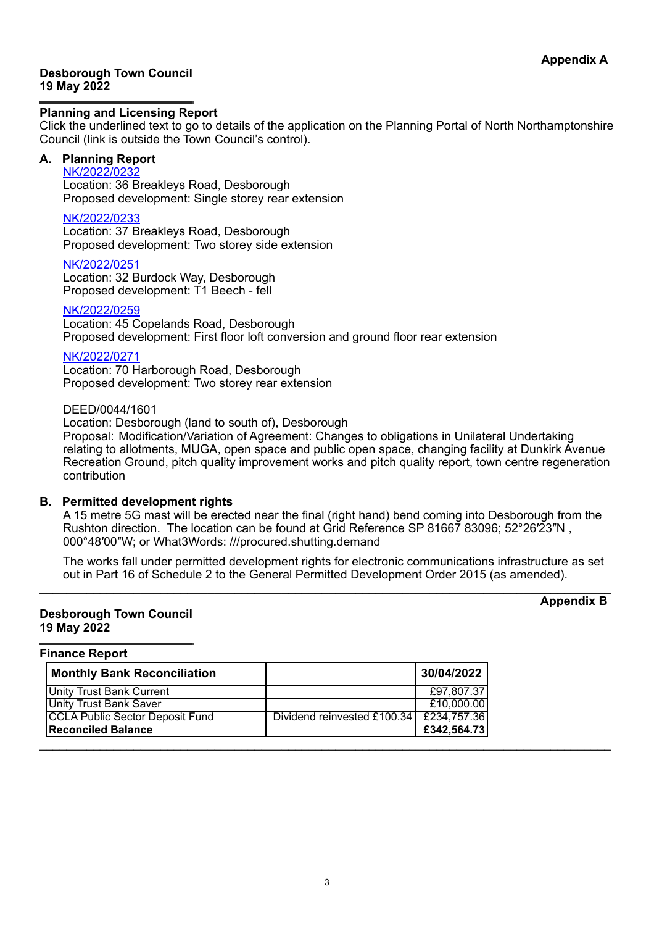#### **Desborough Town Council 19 May 2022**

#### **Planning and Licensing Report**

Click the underlined text to go to details of the application on the Planning Portal of North Northamptonshire Council (link is outside the Town Council's control).

## **A. Planning Report**

[NK/2022/0232](https://www.kettering.gov.uk/planningApplication/131830) Location: 36 Breakleys Road, Desborough Proposed development: Single storey rear extension

[NK/2022/0233](https://www.kettering.gov.uk/planningApplication/131823) Location: 37 Breakleys Road, Desborough Proposed development: Two storey side extension

[NK/2022/0251](https://www.kettering.gov.uk/planningApplication/131838)

Location: 32 Burdock Way, Desborough Proposed development: T1 Beech - fell

#### [NK/2022/0259](https://www.kettering.gov.uk/planningApplication/131837)

Location: 45 Copelands Road, Desborough Proposed development: First floor loft conversion and ground floor rear extension

#### [NK/2022/0271](https://www.kettering.gov.uk/planningApplication/131851)

Location: 70 Harborough Road, Desborough Proposed development: Two storey rear extension

#### DEED/0044/1601

Location: Desborough (land to south of), Desborough Proposal: Modification/Variation of Agreement: Changes to obligations in Unilateral Undertaking relating to allotments, MUGA, open space and public open space, changing facility at Dunkirk Avenue Recreation Ground, pitch quality improvement works and pitch quality report, town centre regeneration contribution

#### **B. Permitted development rights**

A 15 metre 5G mast will be erected near the final (right hand) bend coming into Desborough from the Rushton direction. The location can be found at Grid Reference SP 81667 83096; 52°26′23″N , 000°48′00″W; or What3Words: ///procured.shutting.demand

The works fall under permitted development rights for electronic communications infrastructure as set out in Part 16 of Schedule 2 to the General Permitted Development Order 2015 (as amended).

 $\_$  ,  $\_$  ,  $\_$  ,  $\_$  ,  $\_$  ,  $\_$  ,  $\_$  ,  $\_$  ,  $\_$  ,  $\_$  ,  $\_$  ,  $\_$  ,  $\_$  ,  $\_$  ,  $\_$  ,  $\_$  ,  $\_$  ,  $\_$  ,  $\_$  ,  $\_$  ,  $\_$  ,  $\_$  ,  $\_$  ,  $\_$  ,  $\_$  ,  $\_$  ,  $\_$  ,  $\_$  ,  $\_$  ,  $\_$  ,  $\_$  ,  $\_$  ,  $\_$  ,  $\_$  ,  $\_$  ,  $\_$  ,  $\_$  ,

#### **Desborough Town Council 19 May 2022**

**Appendix B**

#### **Finance Report**

| <b>Monthly Bank Reconciliation</b> |                                                 | 30/04/2022  |
|------------------------------------|-------------------------------------------------|-------------|
| Unity Trust Bank Current           |                                                 | £97,807.37  |
| Unity Trust Bank Saver             |                                                 | £10,000.00  |
| CCLA Public Sector Deposit Fund    | Dividend reinvested £100.34 $\vert$ £234,757.36 |             |
| <b>Reconciled Balance</b>          |                                                 | £342,564.73 |
|                                    |                                                 |             |